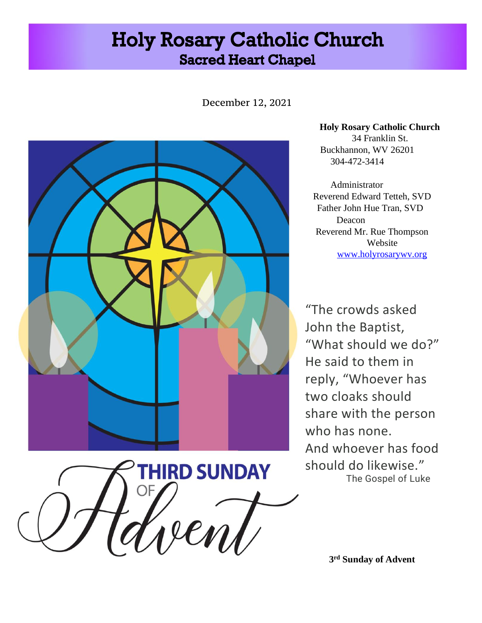# **Holy Rosary Catholic Church Sacred Heart Chapel**

December 12, 2021



**THIRD SUNDAY** 

Zen

**Holy Rosary Catholic Church**  34 Franklin St. Buckhannon, WV 26201 304-472-3414

Administrator Reverend Edward Tetteh, SVD Father John Hue Tran, SVD Deacon Reverend Mr. Rue Thompson Website [www.holyrosarywv.org](http://www.holyrosarywv.org/)

"The crowds asked John the Baptist, "What should we do?" He said to them in reply, "Whoever has two cloaks should share with the person who has none. And whoever has food should do likewise." The Gospel of Luke

**3 rd Sunday of Advent**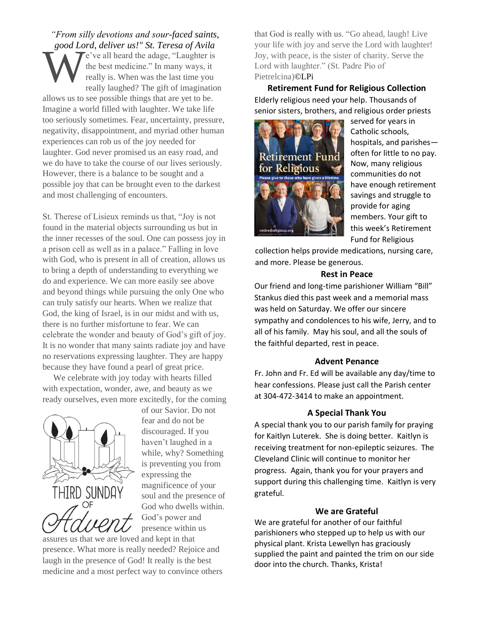*"From silly devotions and sour-faced saints, good Lord, deliver us!" St. Teresa of Avila* e've all heard the adage, "Laughter is the best medicine." In many ways, it really is. When was the last time you really laughed? The gift of imagination allows us to see possible things that are yet to be. Imagine a world filled with laughter. We take life too seriously sometimes. Fear, uncertainty, pressure, negativity, disappointment, and myriad other human experiences can rob us of the joy needed for laughter. God never promised us an easy road, and we do have to take the course of our lives seriously. However, there is a balance to be sought and a possible joy that can be brought even to the darkest and most challenging of encounters. W

St. Therese of Lisieux reminds us that, "Joy is not found in the material objects surrounding us but in the inner recesses of the soul. One can possess joy in a prison cell as well as in a palace." Falling in love with God, who is present in all of creation, allows us to bring a depth of understanding to everything we do and experience. We can more easily see above and beyond things while pursuing the only One who can truly satisfy our hearts. When we realize that God, the king of Israel, is in our midst and with us, there is no further misfortune to fear. We can celebrate the wonder and beauty of God's gift of joy. It is no wonder that many saints radiate joy and have no reservations expressing laughter. They are happy because they have found a pearl of great price.

 We celebrate with joy today with hearts filled with expectation, wonder, awe, and beauty as we ready ourselves, even more excitedly, for the coming



of our Savior. Do not fear and do not be discouraged. If you haven't laughed in a while, why? Something is preventing you from expressing the magnificence of your soul and the presence of God who dwells within. God's power and presence within us

assures us that we are loved and kept in that presence. What more is really needed? Rejoice and laugh in the presence of God! It really is the best medicine and a most perfect way to convince others that God is really with us. "Go ahead, laugh! Live your life with joy and serve the Lord with laughter! Joy, with peace, is the sister of charity. Serve the Lord with laughter." (St. Padre Pio of Pietrelcina)©LPi

**Retirement Fund for Religious Collection** Elderly religious need your help. Thousands of senior sisters, brothers, and religious order priests



served for years in Catholic schools, hospitals, and parishes often for little to no pay. Now, many religious communities do not have enough retirement savings and struggle to provide for aging members. Your gift to this week's Retirement Fund for Religious

collection helps provide medications, nursing care, and more. Please be generous.

### **Rest in Peace**

Our friend and long-time parishioner William "Bill" Stankus died this past week and a memorial mass was held on Saturday. We offer our sincere sympathy and condolences to his wife, Jerry, and to all of his family. May his soul, and all the souls of the faithful departed, rest in peace.

#### **Advent Penance**

Fr. John and Fr. Ed will be available any day/time to hear confessions. Please just call the Parish center at 304-472-3414 to make an appointment.

#### **A Special Thank You**

A special thank you to our parish family for praying for Kaitlyn Luterek. She is doing better. Kaitlyn is receiving treatment for non-epileptic seizures. The Cleveland Clinic will continue to monitor her progress. Again, thank you for your prayers and support during this challenging time. Kaitlyn is very grateful.

#### **We are Grateful**

We are grateful for another of our faithful parishioners who stepped up to help us with our physical plant. Krista Lewellyn has graciously supplied the paint and painted the trim on our side door into the church. Thanks, Krista!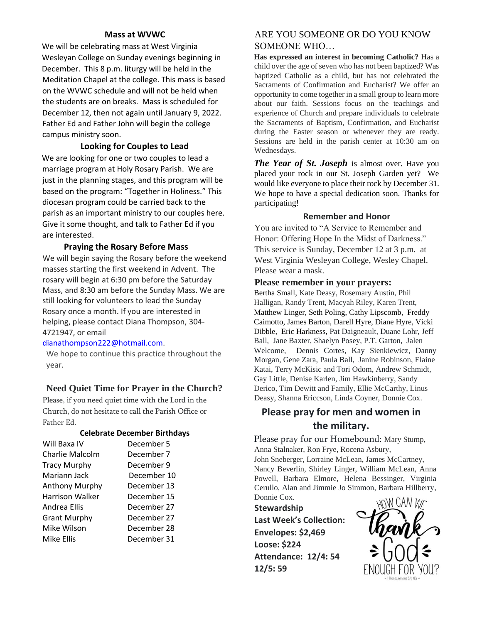## **Mass at WVWC**

We will be celebrating mass at West Virginia Wesleyan College on Sunday evenings beginning in December. This 8 p.m. liturgy will be held in the Meditation Chapel at the college. This mass is based on the WVWC schedule and will not be held when the students are on breaks. Mass is scheduled for December 12, then not again until January 9, 2022. Father Ed and Father John will begin the college campus ministry soon.

## **Looking for Couples to Lead**

We are looking for one or two couples to lead a marriage program at Holy Rosary Parish. We are just in the planning stages, and this program will be based on the program: "Together in Holiness." This diocesan program could be carried back to the parish as an important ministry to our couples here. Give it some thought, and talk to Father Ed if you are interested.

## **Praying the Rosary Before Mass**

We will begin saying the Rosary before the weekend masses starting the first weekend in Advent. The rosary will begin at 6:30 pm before the Saturday Mass, and 8:30 am before the Sunday Mass. We are still looking for volunteers to lead the Sunday Rosary once a month. If you are interested in helping, please contact Diana Thompson, 304- 4721947, or email

## dianathompson222@hotmail.com.

We hope to continue this practice throughout the year.

## **Need Quiet Time for Prayer in the Church?**

Please, if you need quiet time with the Lord in the Church, do not hesitate to call the Parish Office or Father Ed.

## **Celebrate December Birthdays**

| Will Baxa IV           | December 5  |
|------------------------|-------------|
| Charlie Malcolm        | December 7  |
| <b>Tracy Murphy</b>    | December 9  |
| Mariann Jack           | December 10 |
| Anthony Murphy         | December 13 |
| <b>Harrison Walker</b> | December 15 |
| Andrea Ellis           | December 27 |
| <b>Grant Murphy</b>    | December 27 |
| Mike Wilson            | December 28 |
| Mike Ellis             | December 31 |

## ARE YOU SOMEONE OR DO YOU KNOW SOMEONE WHO…

**Has expressed an interest in becoming Catholic?** Has a child over the age of seven who has not been baptized? Was baptized Catholic as a child, but has not celebrated the Sacraments of Confirmation and Eucharist? We offer an opportunity to come together in a small group to learn more about our faith. Sessions focus on the teachings and experience of Church and prepare individuals to celebrate the Sacraments of Baptism, Confirmation, and Eucharist during the Easter season or whenever they are ready. Sessions are held in the parish center at 10:30 am on Wednesdays.

*The Year of St. Joseph* is almost over. Have you placed your rock in our St. Joseph Garden yet? We would like everyone to place their rock by December 31. We hope to have a special dedication soon. Thanks for participating!

## **Remember and Honor**

You are invited to "A Service to Remember and Honor: Offering Hope In the Midst of Darkness." This service is Sunday, December 12 at 3 p.m. at West Virginia Wesleyan College, Wesley Chapel. Please wear a mask.

### **Please remember in your prayers:**

Bertha Small, Kate Deasy, Rosemary Austin, Phil Halligan, Randy Trent, Macyah Riley, Karen Trent, Matthew Linger, Seth Poling, Cathy Lipscomb, Freddy Caimotto, James Barton, Darell Hyre, Diane Hyre, Vicki Dibble, Eric Harkness, Pat Daigneault, Duane Lohr, Jeff Ball, Jane Baxter, Shaelyn Posey, P.T. Garton, Jalen Welcome, Dennis Cortes, Kay Sienkiewicz, Danny Morgan, Gene Zara, Paula Ball, Janine Robinson, Elaine Katai, Terry McKisic and Tori Odom, Andrew Schmidt, Gay Little, Denise Karlen, Jim Hawkinberry, Sandy Derico, Tim Dewitt and Family, Ellie McCarthy, Linus Deasy, Shanna Ericcson, Linda Coyner, Donnie Cox.

## **Please pray for men and women in the military.**

Please pray for our Homebound: Mary Stump, Anna Stalnaker, Ron Frye, Rocena Asbury, John Sneberger, Lorraine McLean, James McCartney, Nancy Beverlin, Shirley Linger, William McLean, Anna Powell, Barbara Elmore, Helena Bessinger, Virginia Cerullo, Alan and Jimmie Jo Simmon, Barbara Hillberry, Donnie Cox.

**Stewardship Last Week's Collection: Envelopes: \$2,469 Loose: \$224 Attendance: 12/4: 54 12/5: 59**